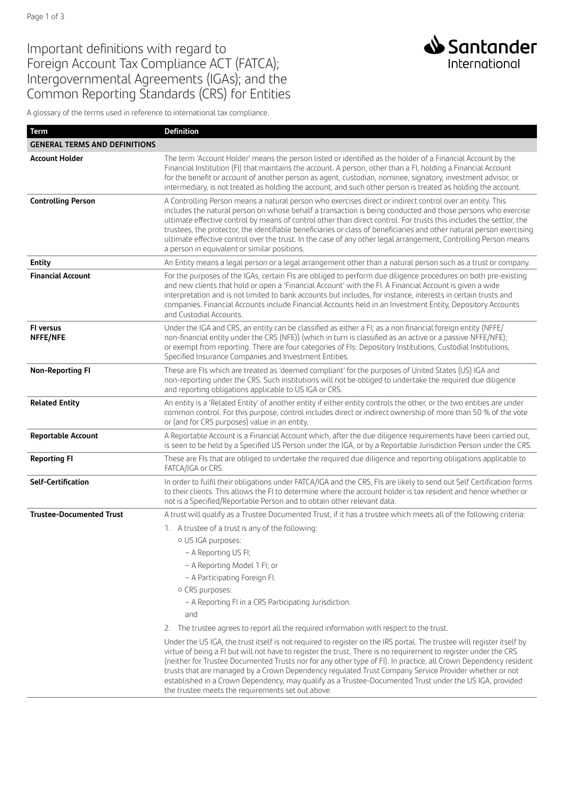## Important definitions with regard to Foreign Account Tax Compliance ACT (FATCA); Intergovernmental Agreements (IGAs); and the Common Reporting Standards (CRS) for Entities

A glossary of the terms used in reference to international tax compliance.

| <b>Term</b>                          | <b>Definition</b>                                                                                                                                                                                                                                                                                                                                                                                                                                                                                                                                                                                                                           |
|--------------------------------------|---------------------------------------------------------------------------------------------------------------------------------------------------------------------------------------------------------------------------------------------------------------------------------------------------------------------------------------------------------------------------------------------------------------------------------------------------------------------------------------------------------------------------------------------------------------------------------------------------------------------------------------------|
| <b>GENERAL TERMS AND DEFINITIONS</b> |                                                                                                                                                                                                                                                                                                                                                                                                                                                                                                                                                                                                                                             |
| <b>Account Holder</b>                | The term 'Account Holder' means the person listed or identified as the holder of a Financial Account by the<br>Financial Institution (FI) that maintains the account. A person, other than a FI, holding a Financial Account<br>for the benefit or account of another person as agent, custodian, nominee, signatory, investment advisor, or<br>intermediary, is not treated as holding the account, and such other person is treated as holding the account.                                                                                                                                                                               |
| <b>Controlling Person</b>            | A Controlling Person means a natural person who exercises direct or indirect control over an entity. This<br>includes the natural person on whose behalf a transaction is being conducted and those persons who exercise<br>ultimate effective control by means of control other than direct control. For trusts this includes the settlor, the<br>trustees, the protector, the identifiable beneficiaries or class of beneficiaries and other natural person exercising<br>ultimate effective control over the trust. In the case of any other legal arrangement, Controlling Person means<br>a person in equivalent or similar positions. |
| <b>Entity</b>                        | An Entity means a legal person or a legal arrangement other than a natural person such as a trust or company.                                                                                                                                                                                                                                                                                                                                                                                                                                                                                                                               |
| <b>Financial Account</b>             | For the purposes of the IGAs, certain FIs are obliged to perform due diligence procedures on both pre-existing<br>and new clients that hold or open a 'Financial Account' with the Fl. A Financial Account is given a wide<br>interpretation and is not limited to bank accounts but includes, for instance, interests in certain trusts and<br>companies. Financial Accounts include Financial Accounts held in an Investment Entity, Depository Accounts<br>and Custodial Accounts.                                                                                                                                                       |
| FI versus<br>NFFE/NFE                | Under the IGA and CRS, an entity can be classified as either a FI; as a non financial foreign entity (NFFE/<br>non-financial entity under the CRS (NFE)) (which in turn is classified as an active or a passive NFFE/NFE);<br>or exempt from reporting. There are four categories of FIs: Depository Institutions, Custodial Institutions,<br>Specified Insurance Companies and Investment Entities.                                                                                                                                                                                                                                        |
| <b>Non-Reporting FI</b>              | These are FIs which are treated as 'deemed compliant' for the purposes of United States (US) IGA and<br>non-reporting under the CRS. Such institutions will not be obliged to undertake the required due diligence<br>and reporting obligations applicable to US IGA or CRS.                                                                                                                                                                                                                                                                                                                                                                |
| <b>Related Entity</b>                | An entity is a 'Related Entity' of another entity if either entity controls the other, or the two entities are under<br>common control. For this purpose, control includes direct or indirect ownership of more than 50 % of the vote<br>or (and for CRS purposes) value in an entity.                                                                                                                                                                                                                                                                                                                                                      |
| <b>Reportable Account</b>            | A Reportable Account is a Financial Account which, after the due diligence requirements have been carried out,<br>is seen to be held by a Specified US Person under the IGA, or by a Reportable Jurisdiction Person under the CRS.                                                                                                                                                                                                                                                                                                                                                                                                          |
| <b>Reporting FI</b>                  | These are FIs that are obliged to undertake the required due diligence and reporting obligations applicable to<br>FATCA/IGA or CRS.                                                                                                                                                                                                                                                                                                                                                                                                                                                                                                         |
| <b>Self-Certification</b>            | In order to fulfil their obligations under FATCA/IGA and the CRS, FIs are likely to send out Self Certification forms<br>to their clients. This allows the FI to determine where the account holder is tax resident and hence whether or<br>not is a Specified/Reportable Person and to obtain other relevant data.                                                                                                                                                                                                                                                                                                                         |
| <b>Trustee-Documented Trust</b>      | A trust will qualify as a Trustee Documented Trust, if it has a trustee which meets all of the following criteria:                                                                                                                                                                                                                                                                                                                                                                                                                                                                                                                          |
|                                      | 1. A trustee of a trust is any of the following:                                                                                                                                                                                                                                                                                                                                                                                                                                                                                                                                                                                            |
|                                      | o US IGA purposes:                                                                                                                                                                                                                                                                                                                                                                                                                                                                                                                                                                                                                          |
|                                      | - A Reporting US FI;                                                                                                                                                                                                                                                                                                                                                                                                                                                                                                                                                                                                                        |
|                                      | - A Reporting Model 1 FI; or                                                                                                                                                                                                                                                                                                                                                                                                                                                                                                                                                                                                                |
|                                      | - A Participating Foreign Fl.                                                                                                                                                                                                                                                                                                                                                                                                                                                                                                                                                                                                               |
|                                      | o CRS purposes:<br>- A Reporting FI in a CRS Participating Jurisdiction.                                                                                                                                                                                                                                                                                                                                                                                                                                                                                                                                                                    |
|                                      | and                                                                                                                                                                                                                                                                                                                                                                                                                                                                                                                                                                                                                                         |
|                                      | 2. The trustee agrees to report all the required information with respect to the trust.                                                                                                                                                                                                                                                                                                                                                                                                                                                                                                                                                     |
|                                      | Under the US IGA, the trust itself is not required to register on the IRS portal. The trustee will register itself by                                                                                                                                                                                                                                                                                                                                                                                                                                                                                                                       |
|                                      | virtue of being a FI but will not have to register the trust. There is no requirement to register under the CRS<br>(neither for Trustee Documented Trusts nor for any other type of FI). In practice, all Crown Dependency resident<br>trusts that are managed by a Crown Dependency regulated Trust Company Service Provider whether or not<br>established in a Crown Dependency, may qualify as a Trustee-Documented Trust under the US IGA, provided<br>the trustee meets the requirements set out above.                                                                                                                                |

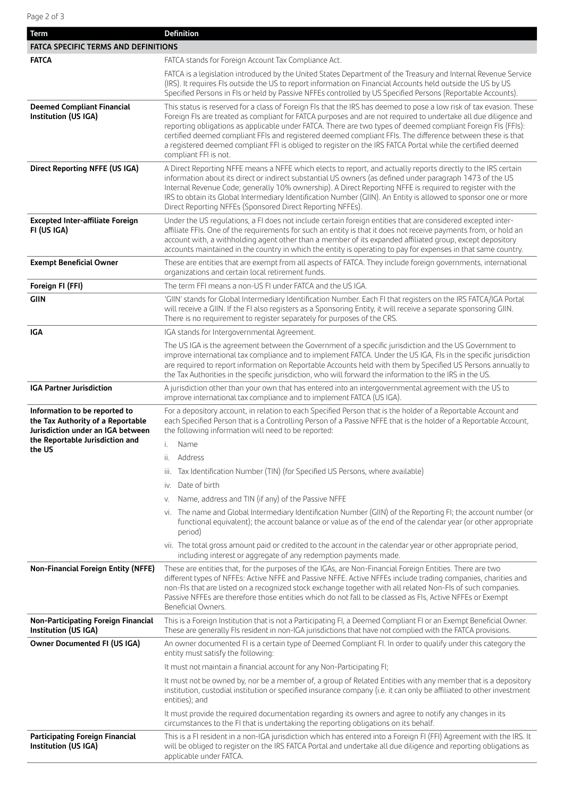| Term                                                                                                                                       | <b>Definition</b>                                                                                                                                                                                                                                                                                                                                                                                                                                                                                                                                                                                            |  |
|--------------------------------------------------------------------------------------------------------------------------------------------|--------------------------------------------------------------------------------------------------------------------------------------------------------------------------------------------------------------------------------------------------------------------------------------------------------------------------------------------------------------------------------------------------------------------------------------------------------------------------------------------------------------------------------------------------------------------------------------------------------------|--|
| <b>FATCA SPECIFIC TERMS AND DEFINITIONS</b>                                                                                                |                                                                                                                                                                                                                                                                                                                                                                                                                                                                                                                                                                                                              |  |
| <b>FATCA</b>                                                                                                                               | FATCA stands for Foreign Account Tax Compliance Act.                                                                                                                                                                                                                                                                                                                                                                                                                                                                                                                                                         |  |
|                                                                                                                                            | FATCA is a legislation introduced by the United States Department of the Treasury and Internal Revenue Service<br>(IRS). It requires Fls outside the US to report information on Financial Accounts held outside the US by US<br>Specified Persons in Fls or held by Passive NFFEs controlled by US Specified Persons (Reportable Accounts).                                                                                                                                                                                                                                                                 |  |
| <b>Deemed Compliant Financial</b><br>Institution (US IGA)                                                                                  | This status is reserved for a class of Foreign FIs that the IRS has deemed to pose a low risk of tax evasion. These<br>Foreign FIs are treated as compliant for FATCA purposes and are not required to undertake all due diligence and<br>reporting obligations as applicable under FATCA. There are two types of deemed compliant Foreign FIs (FFIs):<br>certified deemed compliant FFIs and registered deemed compliant FFIs. The difference between these is that<br>a registered deemed compliant FFI is obliged to register on the IRS FATCA Portal while the certified deemed<br>compliant FFI is not. |  |
| Direct Reporting NFFE (US IGA)                                                                                                             | A Direct Reporting NFFE means a NFFE which elects to report, and actually reports directly to the IRS certain<br>information about its direct or indirect substantial US owners (as defined under paragraph 1473 of the US<br>Internal Revenue Code; generally 10% ownership). A Direct Reporting NFFE is required to register with the<br>IRS to obtain its Global Intermediary Identification Number (GIIN). An Entity is allowed to sponsor one or more<br>Direct Reporting NFFEs (Sponsored Direct Reporting NFFEs).                                                                                     |  |
| <b>Excepted Inter-affiliate Foreign</b><br>FI (US IGA)                                                                                     | Under the US regulations, a FI does not include certain foreign entities that are considered excepted inter-<br>affiliate FFIs. One of the requirements for such an entity is that it does not receive payments from, or hold an<br>account with, a withholding agent other than a member of its expanded affiliated group, except depository<br>accounts maintained in the country in which the entity is operating to pay for expenses in that same country.                                                                                                                                               |  |
| <b>Exempt Beneficial Owner</b>                                                                                                             | These are entities that are exempt from all aspects of FATCA. They include foreign governments, international<br>organizations and certain local retirement funds.                                                                                                                                                                                                                                                                                                                                                                                                                                           |  |
| Foreign FI (FFI)                                                                                                                           | The term FFI means a non-US FI under FATCA and the US IGA.                                                                                                                                                                                                                                                                                                                                                                                                                                                                                                                                                   |  |
| <b>GIIN</b>                                                                                                                                | 'GIIN' stands for Global Intermediary Identification Number. Each FI that registers on the IRS FATCA/IGA Portal<br>will receive a GIIN. If the FI also registers as a Sponsoring Entity, it will receive a separate sponsoring GIIN.<br>There is no requirement to register separately for purposes of the CRS.                                                                                                                                                                                                                                                                                              |  |
| IGA                                                                                                                                        | IGA stands for Intergovernmental Agreement.                                                                                                                                                                                                                                                                                                                                                                                                                                                                                                                                                                  |  |
|                                                                                                                                            | The US IGA is the agreement between the Government of a specific jurisdiction and the US Government to<br>improve international tax compliance and to implement FATCA. Under the US IGA, FIs in the specific jurisdiction<br>are required to report information on Reportable Accounts held with them by Specified US Persons annually to<br>the Tax Authorities in the specific jurisdiction, who will forward the information to the IRS in the US.                                                                                                                                                        |  |
| <b>IGA Partner Jurisdiction</b>                                                                                                            | A jurisdiction other than your own that has entered into an intergovernmental agreement with the US to<br>improve international tax compliance and to implement FATCA (US IGA).                                                                                                                                                                                                                                                                                                                                                                                                                              |  |
| Information to be reported to<br>the Tax Authority of a Reportable<br>Jurisdiction under an IGA between<br>the Reportable Jurisdiction and | For a depository account, in relation to each Specified Person that is the holder of a Reportable Account and<br>each Specified Person that is a Controlling Person of a Passive NFFE that is the holder of a Reportable Account,<br>the following information will need to be reported:<br>i. Name                                                                                                                                                                                                                                                                                                          |  |
| the US                                                                                                                                     | Address<br>Ш.                                                                                                                                                                                                                                                                                                                                                                                                                                                                                                                                                                                                |  |
|                                                                                                                                            | Tax Identification Number (TIN) (for Specified US Persons, where available)<br>iii.                                                                                                                                                                                                                                                                                                                                                                                                                                                                                                                          |  |
|                                                                                                                                            | Date of birth<br>İV.                                                                                                                                                                                                                                                                                                                                                                                                                                                                                                                                                                                         |  |
|                                                                                                                                            | Name, address and TIN (if any) of the Passive NFFE<br>V.                                                                                                                                                                                                                                                                                                                                                                                                                                                                                                                                                     |  |
|                                                                                                                                            | vi. The name and Global Intermediary Identification Number (GIIN) of the Reporting FI; the account number (or<br>functional equivalent); the account balance or value as of the end of the calendar year (or other appropriate<br>period)                                                                                                                                                                                                                                                                                                                                                                    |  |
|                                                                                                                                            | vii. The total gross amount paid or credited to the account in the calendar year or other appropriate period,<br>including interest or aggregate of any redemption payments made.                                                                                                                                                                                                                                                                                                                                                                                                                            |  |
| <b>Non-Financial Foreign Entity (NFFE)</b>                                                                                                 | These are entities that, for the purposes of the IGAs, are Non-Financial Foreign Entities. There are two<br>different types of NFFEs: Active NFFE and Passive NFFE. Active NFFEs include trading companies, charities and<br>non-Fls that are listed on a recognized stock exchange together with all related Non-Fls of such companies.<br>Passive NFFEs are therefore those entities which do not fall to be classed as FIs, Active NFFEs or Exempt<br>Beneficial Owners.                                                                                                                                  |  |
| <b>Non-Participating Foreign Financial</b><br>Institution (US IGA)                                                                         | This is a Foreign Institution that is not a Participating FI, a Deemed Compliant FI or an Exempt Beneficial Owner.<br>These are generally FIs resident in non-IGA jurisdictions that have not complied with the FATCA provisions.                                                                                                                                                                                                                                                                                                                                                                            |  |
| <b>Owner Documented FI (US IGA)</b>                                                                                                        | An owner documented FI is a certain type of Deemed Compliant FI. In order to qualify under this category the<br>entity must satisfy the following:                                                                                                                                                                                                                                                                                                                                                                                                                                                           |  |
|                                                                                                                                            | It must not maintain a financial account for any Non-Participating FI;                                                                                                                                                                                                                                                                                                                                                                                                                                                                                                                                       |  |
|                                                                                                                                            | It must not be owned by, nor be a member of, a group of Related Entities with any member that is a depository<br>institution, custodial institution or specified insurance company (i.e. it can only be affiliated to other investment<br>entities); and                                                                                                                                                                                                                                                                                                                                                     |  |
|                                                                                                                                            | It must provide the required documentation regarding its owners and agree to notify any changes in its<br>circumstances to the FI that is undertaking the reporting obligations on its behalf.                                                                                                                                                                                                                                                                                                                                                                                                               |  |
| Participating Foreign Financial<br>Institution (US IGA)                                                                                    | This is a FI resident in a non-IGA jurisdiction which has entered into a Foreign FI (FFI) Agreement with the IRS. It<br>will be obliged to register on the IRS FATCA Portal and undertake all due diligence and reporting obligations as<br>applicable under FATCA.                                                                                                                                                                                                                                                                                                                                          |  |